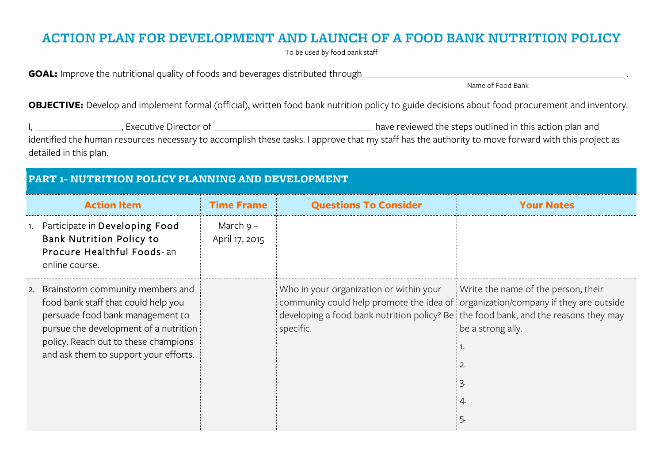## **ACTION PLAN FOR DEVELOPMENT AND LAUNCH OF A FOOD BANK NUTRITION POLICY**

To be used by food bank staff

**GOAL:** Improve the nutritional quality of foods and beverages distributed through \_\_\_\_\_\_\_\_\_\_\_\_\_\_\_\_\_\_\_\_\_\_\_\_\_\_\_\_\_\_\_\_\_\_\_\_\_\_\_\_\_\_\_\_\_\_\_\_\_\_\_\_\_\_\_\_\_ .

Name of Food Bank

**OBJECTIVE:** Develop and implement formal (official), written food bank nutrition policy to guide decisions about food procurement and inventory.

I, \_\_\_\_\_\_\_\_\_\_\_\_\_\_\_\_\_\_\_, Executive Director of \_\_\_\_\_\_\_\_\_\_\_\_\_\_\_\_\_\_\_\_\_\_\_\_\_\_\_\_\_\_\_\_\_\_\_ have reviewed the steps outlined in this action plan and identified the human resources necessary to accomplish these tasks. I approve that my staff has the authority to move forward with this project as detailed in this plan.

| <b>PART 1- NUTRITION POLICY PLANNING AND DEVELOPMENT</b> |                                                                                                                                                                                                                                          |                             |                                                                                                                                                                                                                                                                      |                                   |
|----------------------------------------------------------|------------------------------------------------------------------------------------------------------------------------------------------------------------------------------------------------------------------------------------------|-----------------------------|----------------------------------------------------------------------------------------------------------------------------------------------------------------------------------------------------------------------------------------------------------------------|-----------------------------------|
|                                                          | <b>Action Item</b>                                                                                                                                                                                                                       | <b>Time Frame</b>           | <b>Questions To Consider</b>                                                                                                                                                                                                                                         | <b>Your Notes</b>                 |
|                                                          | 1. Participate in Developing Food<br><b>Bank Nutrition Policy to</b><br>Procure Healthful Foods-an<br>online course.                                                                                                                     | March 9 –<br>April 17, 2015 |                                                                                                                                                                                                                                                                      |                                   |
|                                                          | 2. Brainstorm community members and<br>food bank staff that could help you<br>persuade food bank management to<br>pursue the development of a nutrition<br>policy. Reach out to these champions<br>and ask them to support your efforts. |                             | Who in your organization or within your Write the name of the person, their<br>community could help promote the idea of organization/company if they are outside<br>developing a food bank nutrition policy? Be the food bank, and the reasons they may<br>specific. | be a strong ally.<br>$\mathbf{2}$ |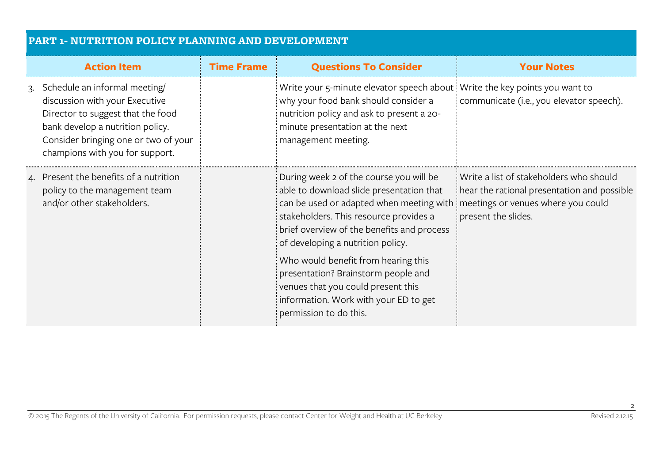| <b>PART 1- NUTRITION POLICY PLANNING AND DEVELOPMENT</b> |                                                                                                                                                                                                                       |                   |                                                                                                                                                                                                                                                                                                                                         |                                                                                                               |
|----------------------------------------------------------|-----------------------------------------------------------------------------------------------------------------------------------------------------------------------------------------------------------------------|-------------------|-----------------------------------------------------------------------------------------------------------------------------------------------------------------------------------------------------------------------------------------------------------------------------------------------------------------------------------------|---------------------------------------------------------------------------------------------------------------|
|                                                          | <b>Action Item</b>                                                                                                                                                                                                    | <b>Time Frame</b> | <b>Questions To Consider</b>                                                                                                                                                                                                                                                                                                            | <b>Your Notes</b>                                                                                             |
|                                                          | 3. Schedule an informal meeting<br>discussion with your Executive<br>Director to suggest that the food<br>bank develop a nutrition policy.<br>Consider bringing one or two of your<br>champions with you for support. |                   | Write your 5-minute elevator speech about Write the key points you want to<br>why your food bank should consider a<br>nutrition policy and ask to present a 20-<br>minute presentation at the next<br>management meeting.                                                                                                               | communicate (i.e., you elevator speech).                                                                      |
|                                                          | 4. Present the benefits of a nutrition<br>policy to the management team<br>and/or other stakeholders.                                                                                                                 |                   | During week 2 of the course you will be<br>able to download slide presentation that<br>can be used or adapted when meeting with imeetings or venues where you could<br>stakeholders. This resource provides a<br>brief overview of the benefits and process<br>of developing a nutrition policy.<br>Who would benefit from hearing this | Write a list of stakeholders who should<br>hear the rational presentation and possible<br>present the slides. |
|                                                          |                                                                                                                                                                                                                       |                   | presentation? Brainstorm people and<br>venues that you could present this<br>information. Work with your ED to get<br>permission to do this.                                                                                                                                                                                            |                                                                                                               |

2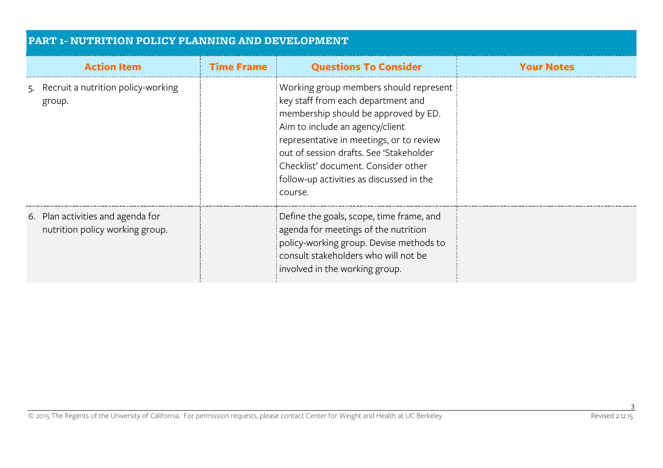| <b>PART 1- NUTRITION POLICY PLANNING AND DEVELOPMENT</b> |                                                                      |                   |                                                                                                                                                                                                                                                                                                                                               |                   |
|----------------------------------------------------------|----------------------------------------------------------------------|-------------------|-----------------------------------------------------------------------------------------------------------------------------------------------------------------------------------------------------------------------------------------------------------------------------------------------------------------------------------------------|-------------------|
|                                                          | <b>Action Item</b>                                                   | <b>Time Frame</b> | <b>Questions To Consider</b>                                                                                                                                                                                                                                                                                                                  | <b>Your Notes</b> |
| group.                                                   | 5. Recruit a nutrition policy-working                                |                   | Working group members should represent<br>key staff from each department and<br>membership should be approved by ED.<br>Aim to include an agency/client<br>representative in meetings, or to review<br>out of session drafts. See 'Stakeholder'<br>Checklist' document. Consider other<br>follow-up activities as discussed in the<br>course. |                   |
|                                                          | 6. Plan activities and agenda for<br>nutrition policy working group. |                   | Define the goals, scope, time frame, and<br>agenda for meetings of the nutrition<br>policy-working group. Devise methods to<br>consult stakeholders who will not be<br>involved in the working group.                                                                                                                                         |                   |

3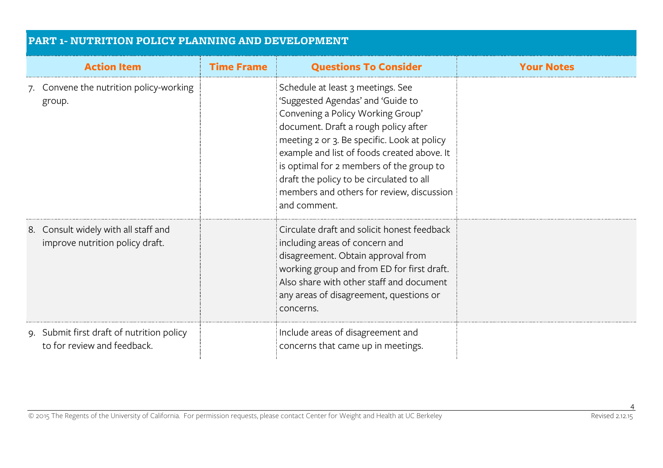| <b>PART 1- NUTRITION POLICY PLANNING AND DEVELOPMENT</b>                 |                   |                                                                                                                                                                                                                                                                                                                                                                                                        |                   |  |
|--------------------------------------------------------------------------|-------------------|--------------------------------------------------------------------------------------------------------------------------------------------------------------------------------------------------------------------------------------------------------------------------------------------------------------------------------------------------------------------------------------------------------|-------------------|--|
| <b>Action Item</b>                                                       | <b>Time Frame</b> | <b>Questions To Consider</b>                                                                                                                                                                                                                                                                                                                                                                           | <b>Your Notes</b> |  |
| 7. Convene the nutrition policy-working<br>group.                        |                   | Schedule at least 3 meetings. See<br>'Suggested Agendas' and 'Guide to<br>Convening a Policy Working Group'<br>document. Draft a rough policy after<br>meeting 2 or 3. Be specific. Look at policy<br>example and list of foods created above. It<br>is optimal for 2 members of the group to<br>draft the policy to be circulated to all<br>members and others for review, discussion<br>and comment. |                   |  |
| 8. Consult widely with all staff and<br>improve nutrition policy draft.  |                   | Circulate draft and solicit honest feedback<br>including areas of concern and<br>disagreement. Obtain approval from<br>working group and from ED for first draft.<br>Also share with other staff and document<br>any areas of disagreement, questions or<br>concerns.                                                                                                                                  |                   |  |
| 9. Submit first draft of nutrition policy<br>to for review and feedback. |                   | Include areas of disagreement and<br>concerns that came up in meetings.                                                                                                                                                                                                                                                                                                                                |                   |  |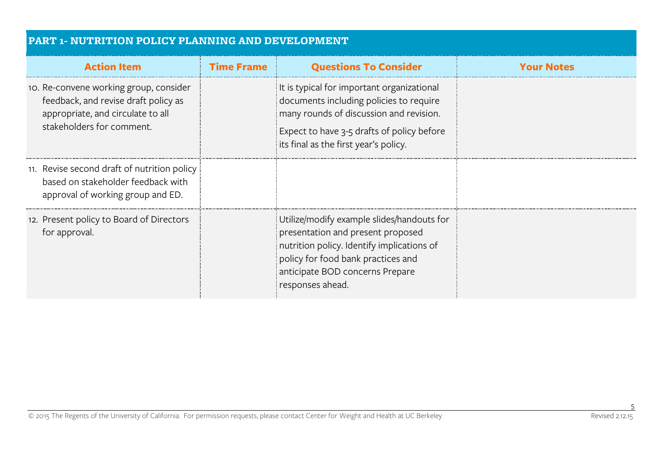| <b>PART 1- NUTRITION POLICY PLANNING AND DEVELOPMENT</b>                                                                                         |                   |                                                                                                                                                                                                                            |                   |  |
|--------------------------------------------------------------------------------------------------------------------------------------------------|-------------------|----------------------------------------------------------------------------------------------------------------------------------------------------------------------------------------------------------------------------|-------------------|--|
| <b>Action Item</b>                                                                                                                               | <b>Time Frame</b> | <b>Questions To Consider</b>                                                                                                                                                                                               | <b>Your Notes</b> |  |
| 10. Re-convene working group, consider<br>feedback, and revise draft policy as<br>appropriate, and circulate to all<br>stakeholders for comment. |                   | It is typical for important organizational<br>documents including policies to require<br>many rounds of discussion and revision.<br>Expect to have 3-5 drafts of policy before<br>its final as the first year's policy.    |                   |  |
| 11. Revise second draft of nutrition policy<br>based on stakeholder feedback with<br>approval of working group and ED.                           |                   |                                                                                                                                                                                                                            |                   |  |
| 12. Present policy to Board of Directors<br>for approval.                                                                                        |                   | Utilize/modify example slides/handouts for<br>presentation and present proposed<br>nutrition policy. Identify implications of<br>policy for food bank practices and<br>anticipate BOD concerns Prepare<br>responses ahead. |                   |  |